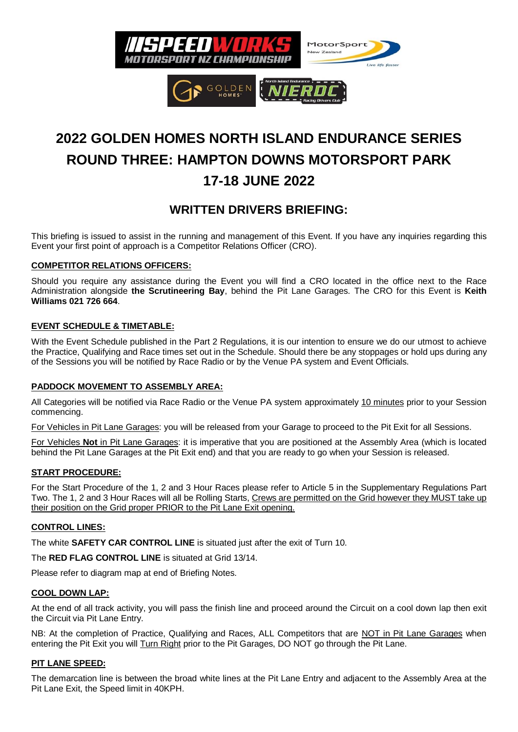

# **2022 GOLDEN HOMES NORTH ISLAND ENDURANCE SERIES ROUND THREE: HAMPTON DOWNS MOTORSPORT PARK 17-18 JUNE 2022**

## **WRITTEN DRIVERS BRIEFING:**

This briefing is issued to assist in the running and management of this Event. If you have any inquiries regarding this Event your first point of approach is a Competitor Relations Officer (CRO).

#### **COMPETITOR RELATIONS OFFICERS:**

Should you require any assistance during the Event you will find a CRO located in the office next to the Race Administration alongside **the Scrutineering Bay**, behind the Pit Lane Garages. The CRO for this Event is **Keith Williams 021 726 664**.

#### **EVENT SCHEDULE & TIMETABLE:**

With the Event Schedule published in the Part 2 Regulations, it is our intention to ensure we do our utmost to achieve the Practice, Qualifying and Race times set out in the Schedule. Should there be any stoppages or hold ups during any of the Sessions you will be notified by Race Radio or by the Venue PA system and Event Officials.

#### **PADDOCK MOVEMENT TO ASSEMBLY AREA:**

All Categories will be notified via Race Radio or the Venue PA system approximately 10 minutes prior to your Session commencing.

For Vehicles in Pit Lane Garages: you will be released from your Garage to proceed to the Pit Exit for all Sessions.

For Vehicles **Not** in Pit Lane Garages: it is imperative that you are positioned at the Assembly Area (which is located behind the Pit Lane Garages at the Pit Exit end) and that you are ready to go when your Session is released.

#### **START PROCEDURE:**

For the Start Procedure of the 1, 2 and 3 Hour Races please refer to Article 5 in the Supplementary Regulations Part Two. The 1, 2 and 3 Hour Races will all be Rolling Starts, Crews are permitted on the Grid however they MUST take up their position on the Grid proper PRIOR to the Pit Lane Exit opening.

#### **CONTROL LINES:**

The white **SAFETY CAR CONTROL LINE** is situated just after the exit of Turn 10.

The **RED FLAG CONTROL LINE** is situated at Grid 13/14.

Please refer to diagram map at end of Briefing Notes.

#### **COOL DOWN LAP:**

At the end of all track activity, you will pass the finish line and proceed around the Circuit on a cool down lap then exit the Circuit via Pit Lane Entry.

NB: At the completion of Practice, Qualifying and Races, ALL Competitors that are NOT in Pit Lane Garages when entering the Pit Exit you will Turn Right prior to the Pit Garages, DO NOT go through the Pit Lane.

#### **PIT LANE SPEED:**

The demarcation line is between the broad white lines at the Pit Lane Entry and adjacent to the Assembly Area at the Pit Lane Exit, the Speed limit in 40KPH.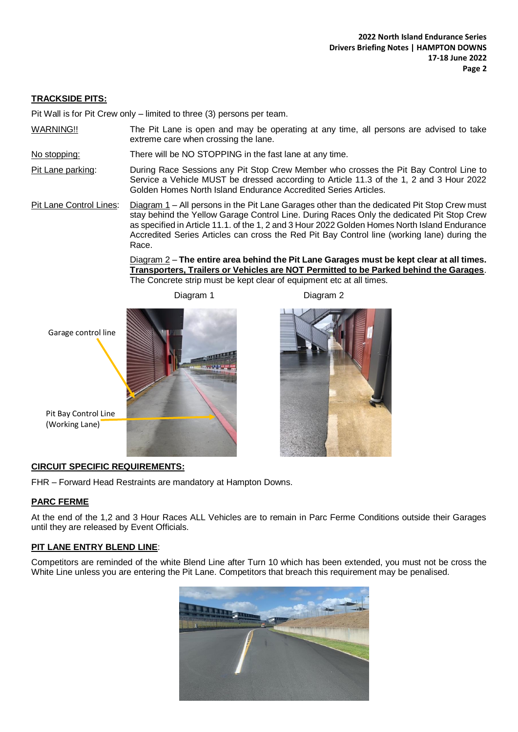#### **TRACKSIDE PITS:**

Pit Wall is for Pit Crew only – limited to three (3) persons per team.

WARNING!! The Pit Lane is open and may be operating at any time, all persons are advised to take extreme care when crossing the lane.

No stopping: There will be NO STOPPING in the fast lane at any time.

Pit Lane parking: During Race Sessions any Pit Stop Crew Member who crosses the Pit Bay Control Line to Service a Vehicle MUST be dressed according to Article 11.3 of the 1, 2 and 3 Hour 2022 Golden Homes North Island Endurance Accredited Series Articles.

Pit Lane Control Lines: Diagram 1 – All persons in the Pit Lane Garages other than the dedicated Pit Stop Crew must stay behind the Yellow Garage Control Line. During Races Only the dedicated Pit Stop Crew as specified in Article 11.1. of the 1, 2 and 3 Hour 2022 Golden Homes North Island Endurance Accredited Series Articles can cross the Red Pit Bay Control line (working lane) during the Race.

> Diagram 2 – **The entire area behind the Pit Lane Garages must be kept clear at all times. Transporters, Trailers or Vehicles are NOT Permitted to be Parked behind the Garages**. The Concrete strip must be kept clear of equipment etc at all times.



Diagram 1 Diagram 2



#### **CIRCUIT SPECIFIC REQUIREMENTS:**

FHR – Forward Head Restraints are mandatory at Hampton Downs.

#### **PARC FERME**

At the end of the 1,2 and 3 Hour Races ALL Vehicles are to remain in Parc Ferme Conditions outside their Garages until they are released by Event Officials.

ļ.

#### **PIT LANE ENTRY BLEND LINE**:

Competitors are reminded of the white Blend Line after Turn 10 which has been extended, you must not be cross the White Line unless you are entering the Pit Lane. Competitors that breach this requirement may be penalised.

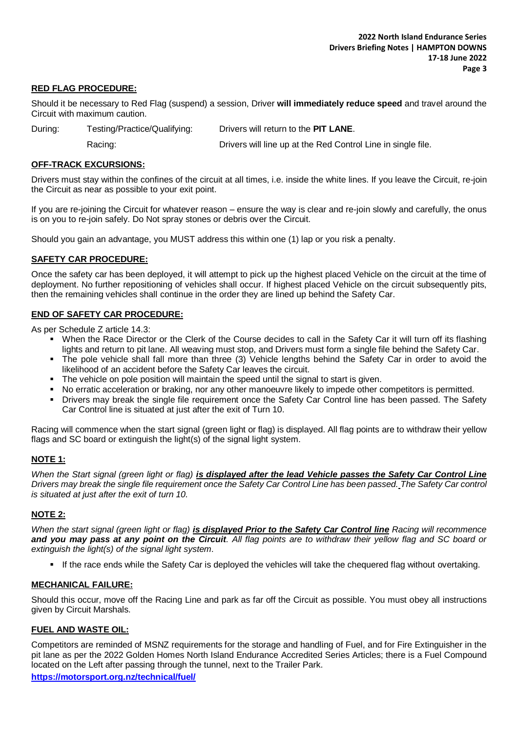#### **RED FLAG PROCEDURE:**

Should it be necessary to Red Flag (suspend) a session, Driver **will immediately reduce speed** and travel around the Circuit with maximum caution.

During: Testing/Practice/Qualifying: Drivers will return to the **PIT LANE**.

Racing: Drivers will line up at the Red Control Line in single file.

#### **OFF-TRACK EXCURSIONS:**

Drivers must stay within the confines of the circuit at all times, i.e. inside the white lines. If you leave the Circuit, re-join the Circuit as near as possible to your exit point.

If you are re-joining the Circuit for whatever reason – ensure the way is clear and re-join slowly and carefully, the onus is on you to re-join safely. Do Not spray stones or debris over the Circuit.

Should you gain an advantage, you MUST address this within one (1) lap or you risk a penalty.

#### **SAFETY CAR PROCEDURE:**

Once the safety car has been deployed, it will attempt to pick up the highest placed Vehicle on the circuit at the time of deployment. No further repositioning of vehicles shall occur. If highest placed Vehicle on the circuit subsequently pits, then the remaining vehicles shall continue in the order they are lined up behind the Safety Car.

#### **END OF SAFETY CAR PROCEDURE:**

As per Schedule Z article 14.3:

- When the Race Director or the Clerk of the Course decides to call in the Safety Car it will turn off its flashing lights and return to pit lane. All weaving must stop, and Drivers must form a single file behind the Safety Car.
- The pole vehicle shall fall more than three (3) Vehicle lengths behind the Safety Car in order to avoid the likelihood of an accident before the Safety Car leaves the circuit.
- The vehicle on pole position will maintain the speed until the signal to start is given.
- No erratic acceleration or braking, nor any other manoeuvre likely to impede other competitors is permitted.
- Drivers may break the single file requirement once the Safety Car Control line has been passed. The Safety Car Control line is situated at just after the exit of Turn 10.

Racing will commence when the start signal (green light or flag) is displayed. All flag points are to withdraw their yellow flags and SC board or extinguish the light(s) of the signal light system.

#### **NOTE 1:**

*When the Start signal (green light or flag) is displayed after the lead Vehicle passes the Safety Car Control Line Drivers may break the single file requirement once the Safety Car Control Line has been passed. The Safety Car control is situated at just after the exit of turn 10.*

#### **NOTE 2:**

*When the start signal (green light or flag) is displayed Prior to the Safety Car Control line Racing will recommence and you may pass at any point on the Circuit. All flag points are to withdraw their yellow flag and SC board or extinguish the light(s) of the signal light system*.

If the race ends while the Safety Car is deployed the vehicles will take the chequered flag without overtaking.

#### **MECHANICAL FAILURE:**

Should this occur, move off the Racing Line and park as far off the Circuit as possible. You must obey all instructions given by Circuit Marshals.

#### **FUEL AND WASTE OIL:**

Competitors are reminded of MSNZ requirements for the storage and handling of Fuel, and for Fire Extinguisher in the pit lane as per the 2022 Golden Homes North Island Endurance Accredited Series Articles; there is a Fuel Compound located on the Left after passing through the tunnel, next to the Trailer Park.

**<https://motorsport.org.nz/technical/fuel/>**